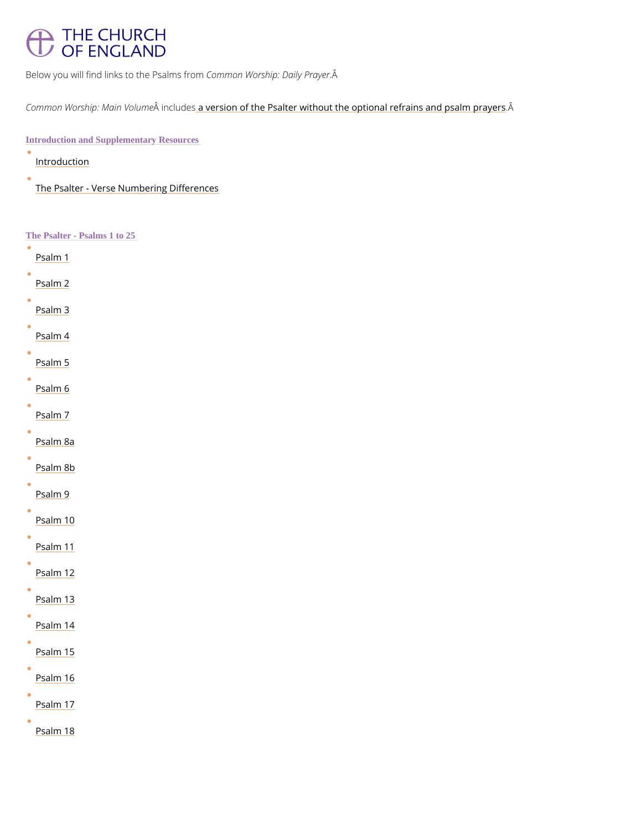# THE CHURCH OF ENGLAND

Below you will find links to Cibenr Prosal Mosorfsrior providity Prayer

Common Worship: Ma iim Moukalense rsion of the Psalter without the optional rearains and psalm pr

Introduction and Supplementary Resources

**[Introduc](/prayer-and-worship/worship-texts-and-resources/common-worship/daily-prayer/psalter#p647)tion** 

[The Psalter - Verse Number](/prayer-and-worship/worship-texts-and-resources/common-worship/daily-prayer/psalter/psalter-verse)ing Differences

The Psalter - Psalms 1 to 25

[Psalm](https://www.churchofengland.org/prayer-and-worship/worship-texts-and-resources/common-worship/daily-prayer/psalter/psalm-1) 1 [Psalm](https://www.churchofengland.org/prayer-and-worship/worship-texts-and-resources/common-worship/daily-prayer/psalter/psalm-2) 2 [Psalm](https://www.churchofengland.org/prayer-and-worship/worship-texts-and-resources/common-worship/daily-prayer/psalter/psalm-3) 3 [Psalm](https://www.churchofengland.org/prayer-and-worship/worship-texts-and-resources/common-worship/daily-prayer/psalter/psalm-4) 4 [Psalm](https://www.churchofengland.org/prayer-and-worship/worship-texts-and-resources/common-worship/daily-prayer/psalter/psalm-5) 5 [Psalm](https://www.churchofengland.org/prayer-and-worship/worship-texts-and-resources/common-worship/daily-prayer/psalter/psalm-6) 6 [Psalm](https://www.churchofengland.org/prayer-and-worship/worship-texts-and-resources/common-worship/daily-prayer/psalter/psalm-7) 7 [Psalm](https://www.churchofengland.org/prayer-and-worship/worship-texts-and-resources/common-worship/daily-prayer/psalter/psalm-8a) 8a [Psalm](https://www.churchofengland.org/prayer-and-worship/worship-texts-and-resources/common-worship/daily-prayer/psalter/psalm-8b) 8b [Psalm](https://www.churchofengland.org/prayer-and-worship/worship-texts-and-resources/common-worship/daily-prayer/psalter/psalm-9) 9 [Psalm](https://www.churchofengland.org/prayer-and-worship/worship-texts-and-resources/common-worship/daily-prayer/psalter/psalm-10) 10 [Psalm](https://www.churchofengland.org/prayer-and-worship/worship-texts-and-resources/common-worship/daily-prayer/psalter/psalm-11) 11 [Psalm](https://www.churchofengland.org/prayer-and-worship/worship-texts-and-resources/common-worship/daily-prayer/psalter/psalm-12) 12 [Psalm](https://www.churchofengland.org/prayer-and-worship/worship-texts-and-resources/common-worship/daily-prayer/psalter/psalm-13) 13

[Psalm](https://www.churchofengland.org/prayer-and-worship/worship-texts-and-resources/common-worship/daily-prayer/psalter/psalm-14) 14

[Psalm](https://www.churchofengland.org/prayer-and-worship/worship-texts-and-resources/common-worship/daily-prayer/psalter/psalm-15) 15

[Psalm](https://www.churchofengland.org/prayer-and-worship/worship-texts-and-resources/common-worship/daily-prayer/psalter/psalm-16) 16

 $\bullet$ 

[Psalm](https://www.churchofengland.org/prayer-and-worship/worship-texts-and-resources/common-worship/daily-prayer/psalter/psalm-17) 17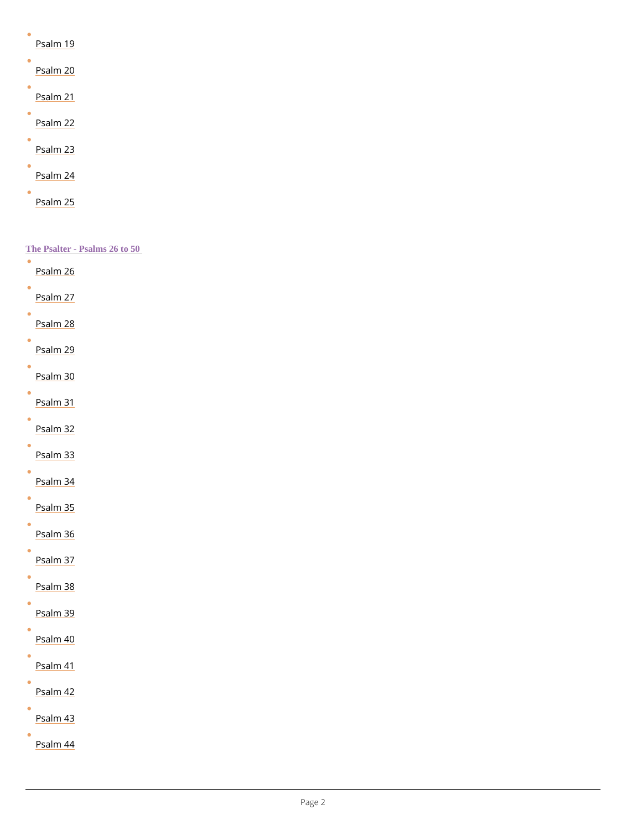| Psalm 19            |  |
|---------------------|--|
| Psalm 20            |  |
| Psalm <sub>21</sub> |  |
| Psalm 22            |  |
| Psalm 23            |  |
| Psalm <sub>24</sub> |  |
| Psalm 25            |  |

 $\bullet$ [Psalm](https://www.churchofengland.org/prayer-and-worship/worship-texts-and-resources/common-worship/daily-prayer/psalter/psalm-44) 44

| The Psalter - Psalms 26 to 50    |
|----------------------------------|
| <u>Psalm</u> 26                  |
| Psalm <sub>27</sub>              |
| Psalm <sub>28</sub>              |
| Psalm <sub>29</sub>              |
| 0<br>Psalm <sub>30</sub>         |
| $\bullet$<br>Psalm <sub>31</sub> |
| Psalm <sub>32</sub>              |
| Psalm 33                         |
| Psalm <sub>34</sub>              |
| Psalm <sub>35</sub>              |
| Psalm 36                         |
| Psalm 37                         |
| Psalm 38                         |
|                                  |



 $\bullet$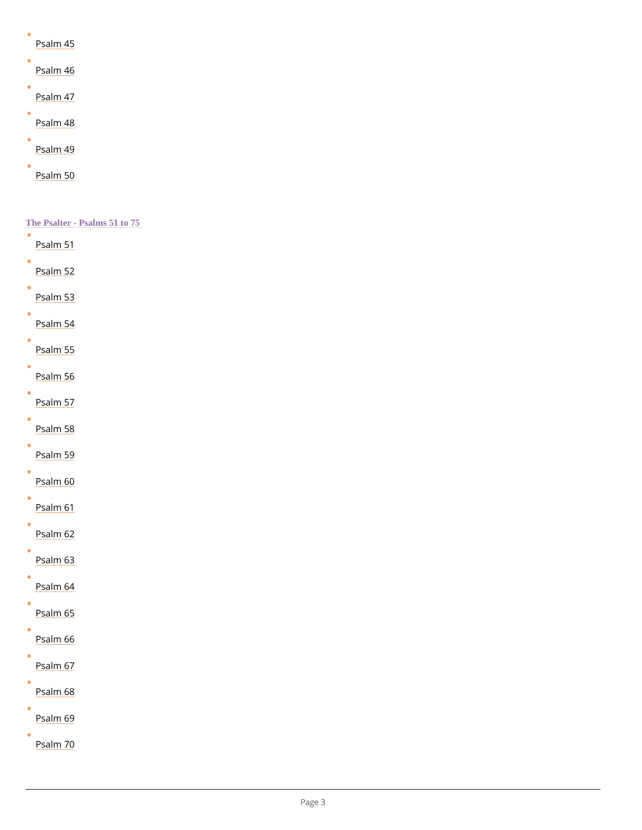| Psalm 45 |  |
|----------|--|
| Psalm 46 |  |
| Psalm 47 |  |
| Psalm 48 |  |
| Psalm 49 |  |
| Psalm 50 |  |

### The Psalter - Psalms 51 to 75

| $\bullet$ | Psalm <sub>51</sub> |  |
|-----------|---------------------|--|
| $\bullet$ | Psalm <sub>52</sub> |  |
|           | Psalm <sub>53</sub> |  |
|           | Psalm 54            |  |
|           | Psalm <sub>55</sub> |  |
|           | Psalm <sub>56</sub> |  |
| 0         | Psalm <sub>57</sub> |  |
|           | Psalm 58            |  |
|           | Psalm <sub>59</sub> |  |
| $\bullet$ | $P$ salm 60         |  |
|           | Psalm 61            |  |
|           | Psalm 62            |  |
|           | Psalm 63            |  |
|           | Psalm <sub>64</sub> |  |
|           |                     |  |



 $\bullet$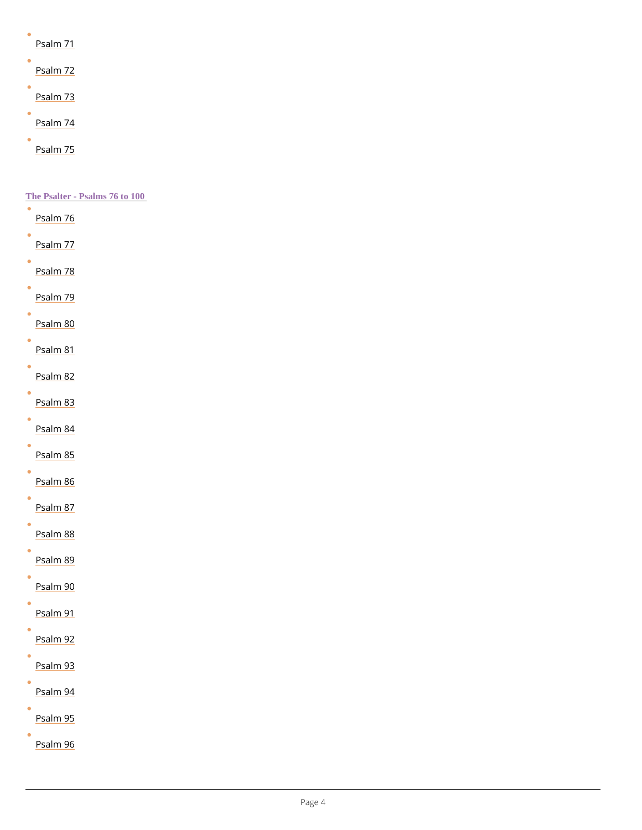| Psalm 71 |  |
|----------|--|
| Psalm 72 |  |
| Psalm 73 |  |
| Psalm 74 |  |
| Psalm 75 |  |

 $\bullet$ 

 $\bullet$ 

 $\bullet$ 

 $\bullet$ 

The Psalter - Psalms 76 to 100  $\bullet$ [Psalm](https://www.churchofengland.org/prayer-and-worship/worship-texts-and-resources/common-worship/daily-prayer/psalter/psalm-76) 76  $\bullet$ [Psalm](https://www.churchofengland.org/prayer-and-worship/worship-texts-and-resources/common-worship/daily-prayer/psalter/psalm-77) 77  $\bullet$ [Psalm](https://www.churchofengland.org/prayer-and-worship/worship-texts-and-resources/common-worship/daily-prayer/psalter/psalm-78) 78  $\bullet$ [Psalm](https://www.churchofengland.org/prayer-and-worship/worship-texts-and-resources/common-worship/daily-prayer/psalter/psalm-79) 79  $\bullet$ [Psalm](https://www.churchofengland.org/prayer-and-worship/worship-texts-and-resources/common-worship/daily-prayer/psalter/psalm-80) 80 [Psalm](https://www.churchofengland.org/prayer-and-worship/worship-texts-and-resources/common-worship/daily-prayer/psalter/psalm-81) 81  $\bullet$ [Psalm](https://www.churchofengland.org/prayer-and-worship/worship-texts-and-resources/common-worship/daily-prayer/psalter/psalm-82) 82  $\bullet$ [Psalm](https://www.churchofengland.org/prayer-and-worship/worship-texts-and-resources/common-worship/daily-prayer/psalter/psalm-83) 83  $\bullet$ [Psalm](https://www.churchofengland.org/prayer-and-worship/worship-texts-and-resources/common-worship/daily-prayer/psalter/psalm-84) 84  $\bullet$ [Psalm](https://www.churchofengland.org/prayer-and-worship/worship-texts-and-resources/common-worship/daily-prayer/psalter/psalm-85) 85 [Psalm](https://www.churchofengland.org/prayer-and-worship/worship-texts-and-resources/common-worship/daily-prayer/psalter/psalm-86) 86  $\bullet$ [Psalm](https://www.churchofengland.org/prayer-and-worship/worship-texts-and-resources/common-worship/daily-prayer/psalter/psalm-87) 87 [Psalm](https://www.churchofengland.org/prayer-and-worship/worship-texts-and-resources/common-worship/daily-prayer/psalter/psalm-88) 88  $\bullet$ [Psalm](https://www.churchofengland.org/prayer-and-worship/worship-texts-and-resources/common-worship/daily-prayer/psalter/psalm-89) 89 [Psalm](https://www.churchofengland.org/prayer-and-worship/worship-texts-and-resources/common-worship/daily-prayer/psalter/psalm-90) 90 [Psalm](https://www.churchofengland.org/prayer-and-worship/worship-texts-and-resources/common-worship/daily-prayer/psalter/psalm-91) 91

 $\bullet$ [Psalm](https://www.churchofengland.org/prayer-and-worship/worship-texts-and-resources/common-worship/daily-prayer/psalter/psalm-96) 96

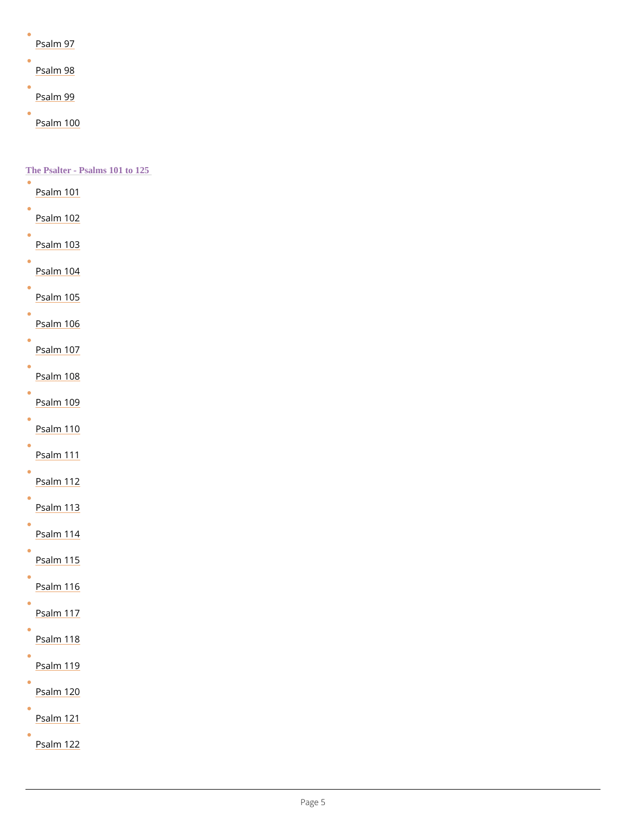| Psalm 97 |  |
|----------|--|
| Psalm 98 |  |
| Psalm 99 |  |
|          |  |

[Psalm](https://www.churchofengland.org/prayer-and-worship/worship-texts-and-resources/common-worship/daily-prayer/psalter/psalm-100) 100

 $\bullet$ 

The Psalter - Psalms 101 to 125

[Psalm](https://www.churchofengland.org/prayer-and-worship/worship-texts-and-resources/common-worship/daily-prayer/psalter/psalm-101) 101 [Psalm](https://www.churchofengland.org/prayer-and-worship/worship-texts-and-resources/common-worship/daily-prayer/psalter/psalm-102) 102 [Psalm](https://www.churchofengland.org/prayer-and-worship/worship-texts-and-resources/common-worship/daily-prayer/psalter/psalm-103) 103 [Psalm](https://www.churchofengland.org/prayer-and-worship/worship-texts-and-resources/common-worship/daily-prayer/psalter/psalm-104) 104 Psalm<sub>105</sub> [Psalm](https://www.churchofengland.org/prayer-and-worship/worship-texts-and-resources/common-worship/daily-prayer/psalter/psalm-106) 106 [Psalm](https://www.churchofengland.org/prayer-and-worship/worship-texts-and-resources/common-worship/daily-prayer/psalter/psalm-107) 107 [Psalm](https://www.churchofengland.org/prayer-and-worship/worship-texts-and-resources/common-worship/daily-prayer/psalter/psalm-108) 108 Psalm<sub>109</sub> [Psalm](https://www.churchofengland.org/prayer-and-worship/worship-texts-and-resources/common-worship/daily-prayer/psalter/psalm-110) 110 [Psalm](https://www.churchofengland.org/prayer-and-worship/worship-texts-and-resources/common-worship/daily-prayer/psalter/psalm-111) 111 Psalm<sub>112</sub> [Psalm](https://www.churchofengland.org/prayer-and-worship/worship-texts-and-resources/common-worship/daily-prayer/psalter/psalm-113) 113 [Psalm](https://www.churchofengland.org/prayer-and-worship/worship-texts-and-resources/common-worship/daily-prayer/psalter/psalm-114) 114

[Psalm](https://www.churchofengland.org/prayer-and-worship/worship-texts-and-resources/common-worship/daily-prayer/psalter/psalm-115) 115

[Psalm](https://www.churchofengland.org/prayer-and-worship/worship-texts-and-resources/common-worship/daily-prayer/psalter/psalm-116) 116

[Psalm](https://www.churchofengland.org/prayer-and-worship/worship-texts-and-resources/common-worship/daily-prayer/psalter/psalm-117) 117



[Psalm](https://www.churchofengland.org/prayer-and-worship/worship-texts-and-resources/common-worship/daily-prayer/psalter/psalm-119) 119

 $\bullet$ 

 $\bullet$ 

 $\bullet$ 

[Psalm](https://www.churchofengland.org/prayer-and-worship/worship-texts-and-resources/common-worship/daily-prayer/psalter/psalm-120) 120

[Psalm](https://www.churchofengland.org/prayer-and-worship/worship-texts-and-resources/common-worship/daily-prayer/psalter/psalm-121) 121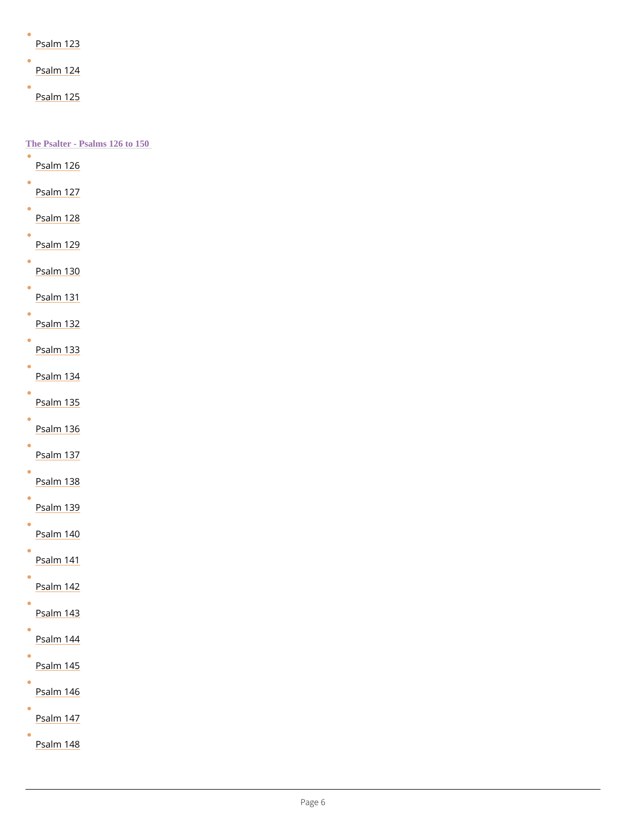|  |  |  | Psalm 123 |
|--|--|--|-----------|
|  |  |  |           |

[Psalm](https://www.churchofengland.org/prayer-and-worship/worship-texts-and-resources/common-worship/daily-prayer/psalter/psalm-124) 124

[Psalm](https://www.churchofengland.org/prayer-and-worship/worship-texts-and-resources/common-worship/daily-prayer/psalter/psalm-125) 125

#### $\bullet$ [Psalm](https://www.churchofengland.org/prayer-and-worship/worship-texts-and-resources/common-worship/daily-prayer/psalter/psalm-144) 144

Psalm<sub>145</sub>

 $\bullet$ 

 $\bullet$ 

 $\bullet$ 

The Psalter - Psalms 126 to 150  $\bullet$ [Psalm](https://www.churchofengland.org/prayer-and-worship/worship-texts-and-resources/common-worship/daily-prayer/psalter/psalm-126) 126 [Psalm](https://www.churchofengland.org/prayer-and-worship/worship-texts-and-resources/common-worship/daily-prayer/psalter/psalm-127) 127 [Psalm](https://www.churchofengland.org/prayer-and-worship/worship-texts-and-resources/common-worship/daily-prayer/psalter/psalm-128) 128 [Psalm](https://www.churchofengland.org/prayer-and-worship/worship-texts-and-resources/common-worship/daily-prayer/psalter/psalm-129) 129 [Psalm](https://www.churchofengland.org/prayer-and-worship/worship-texts-and-resources/common-worship/daily-prayer/psalter/psalm-130) 130 [Psalm](https://www.churchofengland.org/prayer-and-worship/worship-texts-and-resources/common-worship/daily-prayer/psalter/psalm-131) 131 [Psalm](https://www.churchofengland.org/prayer-and-worship/worship-texts-and-resources/common-worship/daily-prayer/psalter/psalm-132) 132 [Psalm](https://www.churchofengland.org/prayer-and-worship/worship-texts-and-resources/common-worship/daily-prayer/psalter/psalm-133) 133 [Psalm](https://www.churchofengland.org/prayer-and-worship/worship-texts-and-resources/common-worship/daily-prayer/psalter/psalm-134) 134 Psalm<sub>135</sub> Psalm<sub>136</sub> [Psalm](https://www.churchofengland.org/prayer-and-worship/worship-texts-and-resources/common-worship/daily-prayer/psalter/psalm-137) 137 [Psalm](https://www.churchofengland.org/prayer-and-worship/worship-texts-and-resources/common-worship/daily-prayer/psalter/psalm-138) 138 Psalm<sub>139</sub> Psalm<sub>140</sub> [Psalm](https://www.churchofengland.org/prayer-and-worship/worship-texts-and-resources/common-worship/daily-prayer/psalter/psalm-141) 141 [Psalm](https://www.churchofengland.org/prayer-and-worship/worship-texts-and-resources/common-worship/daily-prayer/psalter/psalm-142) 142

[Psalm](https://www.churchofengland.org/prayer-and-worship/worship-texts-and-resources/common-worship/daily-prayer/psalter/psalm-143) 143

[Psalm](https://www.churchofengland.org/prayer-and-worship/worship-texts-and-resources/common-worship/daily-prayer/psalter/psalm-146) 146

[Psalm](https://www.churchofengland.org/prayer-and-worship/worship-texts-and-resources/common-worship/daily-prayer/psalter/psalm-147) 147

Psalm<sub>148</sub>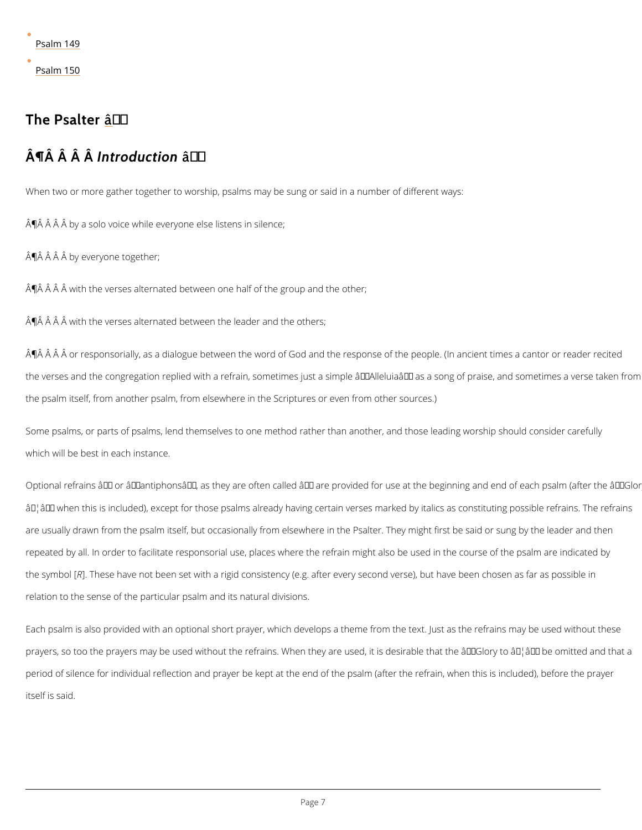[Psalm](https://www.churchofengland.org/prayer-and-worship/worship-texts-and-resources/common-worship/daily-prayer/psalter/psalm-149) 149

[Psalm](https://www.churchofengland.org/prayer-and-worship/worship-texts-and-resources/common-worship/daily-prayer/psalter/psalm-150) 150

## The Psaîlter

## $\hat{A} \parallel \hat{A}$   $\hat{A}$   $\parallel \hat{A} \parallel t \hat{A}$  od u cât tón

When two or more gather together to worship, psalms may be sung or said in a number of dif  $\hat{A}$  $\hat{\mathsf{P}}$   $\hat{A}$   $\hat{A}$   $\hat{A}$   $\hat{B}$  by a solo voice while everyone else listens in silence;

 $\hat{A}$   $\hat{B}$   $\hat{A}$   $\hat{A}$  by everyone together;

 $\mathsf{\hat{A}} \mathsf{\hat{P}}$   $\mathsf{\hat{A}}$   $\mathsf{\hat{A}}$   $\mathsf{\hat{A}}$  with the verses alternated between one half of the group and the other;

 $\mathsf{A} \mathsf{P}$   $\mathsf{A}$   $\mathsf{A}$   $\mathsf{A}$   $\mathsf{B}$  with the verses alternated between the leader and the others;

 $\hat{A}$   $\hat{\mathsf{P}}$   $\hat{A}$   $\hat{A}$   $\hat{A}$   $\hat{A}$  or responsorially, as a dialogue between the word of  $Good$  and the response of the the verses and the congregation replied with a refrain, sometimes just a simple  $\hat{a} \in \tilde{a}$  Alleluia $\hat{a} \in \tilde{a}$ the psalm itself, from another psalm, from elsewhere in the Scriptures or even from other so

Some psalms, or parts of psalms, lend themselves to one method rather than another, and th which will be best in each instance.

Optional refrains  $\hat{a} \in \hat{a}$  or  $\hat{a} \in \hat{a}$  antiphons $\hat{a} \in \hat{a}$  as they are often called  $\hat{a} \in \hat{a}$  are provided for use ɉ۪ when this is included), except for those psalms already having certain verses marke are usually drawn from the psalm itself, but occasionally from elsewhere in the Psalter. They repeated by all. In order to facilitate responsorial use, places where the refrain might also b the sym[BR]. These have not been set with a rigid consistency (e.g. after every second verse), relation to the sense of the particular psalm and its natural divisions.

Each psalm is also provided with an optional short prayer, which develops a theme from the

prayers, so too the prayers may be used without the refrains. When they are used, it is desir

period of silence for individual reflection and prayer be kept at the end of the psalm (after t

itself is said.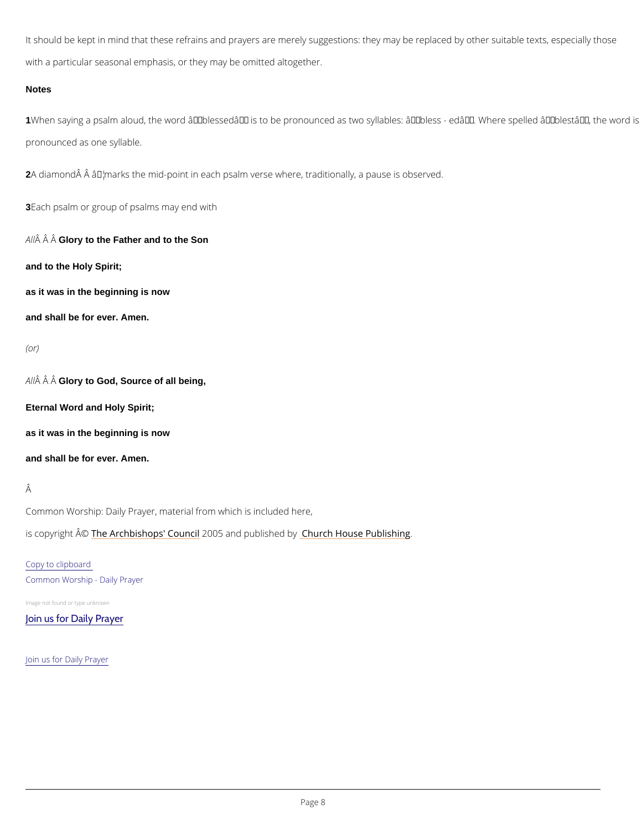It should be kept in mind that these refrains and prayers are merely suggestions: they may b with a particular seasonal emphasis, or they may be omitted altogether.

#### **Notes**

1When saying a psalm aloud, the word â€~blessed' is to be pronounced as two syllables: pronounced as one syllable.

2A diamond A M A rks the mid-point in each psalm verse where, traditionally, a pause is observe

3Each psalm or group of psalms may end with

A  $\hat{A}$   $\hat{A}$  G $\hat{A}$ ory to the Father and to the Son

and to the Holy Spirit;

as it was in the beginning is now

and shall be for ever. Amen.

### (or)

A  $\hat{A}$   $\hat{A}$  G $\hat{A}$ ory to God, Source of all being,

Eternal Word and Holy Spirit;

as it was in the beginning is now

and shall be for ever. Amen.

## Â

Common Worship: Daily Prayer, material from which is included here,

is copyright  $\hat{\mathbb{A}}$  @Archbishops' 2000 u5 n and publish hend r obly House Publishing

## Copy to clipboard Common Worship - Daily Prayer

Image not found or type unknown

[Join us for Daily Prayer](https://www.churchofengland.org/prayer-and-worship/join-us-in-daily-prayer)

Join us for Daily Prayer